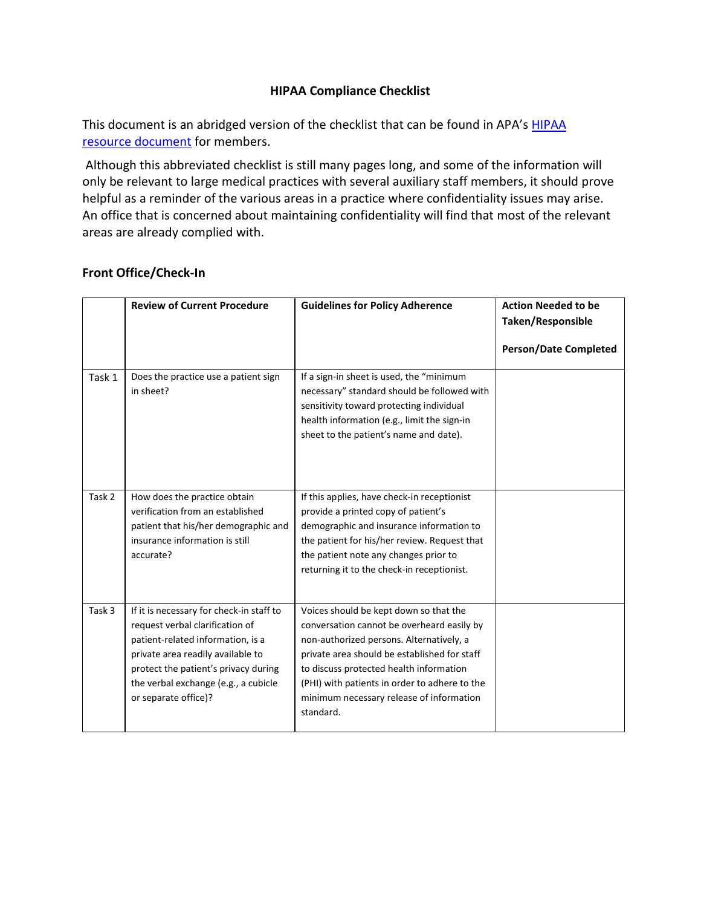# **HIPAA Compliance Checklist**

This document is an abridged version of the checklist that can be found in APA's HIPAA [resource document](http://www.psychiatry.org/practice/managing-a-practice/hipaa) for members.

Although this abbreviated checklist is still many pages long, and some of the information will only be relevant to large medical practices with several auxiliary staff members, it should prove helpful as a reminder of the various areas in a practice where confidentiality issues may arise. An office that is concerned about maintaining confidentiality will find that most of the relevant areas are already complied with.

# **Front Office/Check-In**

|        | <b>Review of Current Procedure</b>                                                                                                                                                                                                                            | <b>Guidelines for Policy Adherence</b>                                                                                                                                                                                                                                                                                                | <b>Action Needed to be</b><br><b>Taken/Responsible</b><br><b>Person/Date Completed</b> |
|--------|---------------------------------------------------------------------------------------------------------------------------------------------------------------------------------------------------------------------------------------------------------------|---------------------------------------------------------------------------------------------------------------------------------------------------------------------------------------------------------------------------------------------------------------------------------------------------------------------------------------|----------------------------------------------------------------------------------------|
| Task 1 | Does the practice use a patient sign<br>in sheet?                                                                                                                                                                                                             | If a sign-in sheet is used, the "minimum<br>necessary" standard should be followed with<br>sensitivity toward protecting individual<br>health information (e.g., limit the sign-in<br>sheet to the patient's name and date).                                                                                                          |                                                                                        |
| Task 2 | How does the practice obtain<br>verification from an established<br>patient that his/her demographic and<br>insurance information is still<br>accurate?                                                                                                       | If this applies, have check-in receptionist<br>provide a printed copy of patient's<br>demographic and insurance information to<br>the patient for his/her review. Request that<br>the patient note any changes prior to<br>returning it to the check-in receptionist.                                                                 |                                                                                        |
| Task 3 | If it is necessary for check-in staff to<br>request verbal clarification of<br>patient-related information, is a<br>private area readily available to<br>protect the patient's privacy during<br>the verbal exchange (e.g., a cubicle<br>or separate office)? | Voices should be kept down so that the<br>conversation cannot be overheard easily by<br>non-authorized persons. Alternatively, a<br>private area should be established for staff<br>to discuss protected health information<br>(PHI) with patients in order to adhere to the<br>minimum necessary release of information<br>standard. |                                                                                        |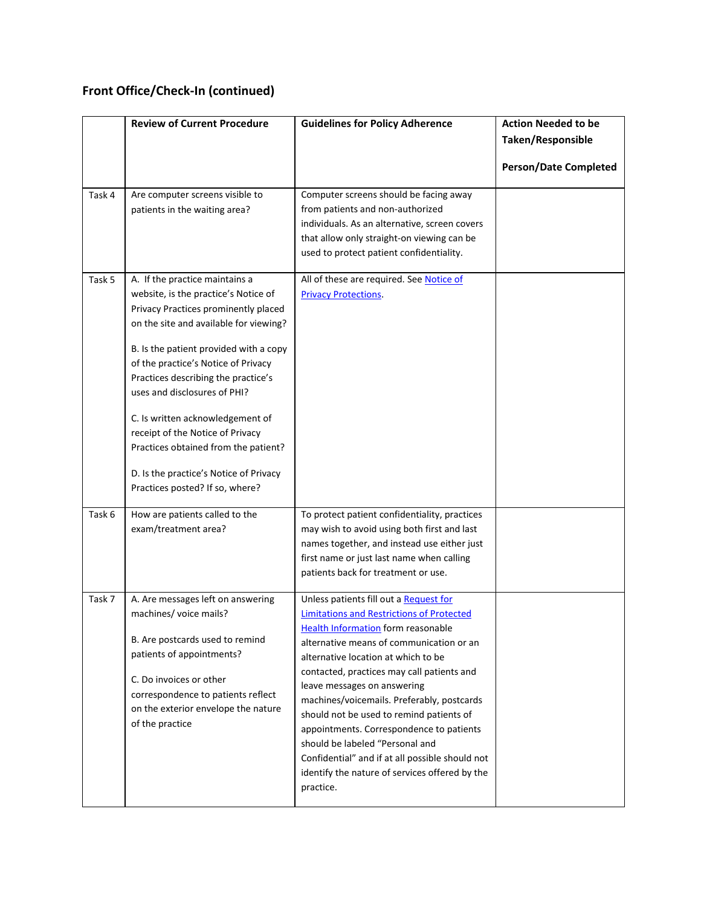# **Front Office/Check-In (continued)**

|        | <b>Review of Current Procedure</b>                                                                                                                                                                                                                                                                                                                                                                                                                                                                            | <b>Guidelines for Policy Adherence</b>                                                                                                                                                                                                                                                                                                                                                                                                                                                                                                                                                             | <b>Action Needed to be</b><br>Taken/Responsible<br><b>Person/Date Completed</b> |
|--------|---------------------------------------------------------------------------------------------------------------------------------------------------------------------------------------------------------------------------------------------------------------------------------------------------------------------------------------------------------------------------------------------------------------------------------------------------------------------------------------------------------------|----------------------------------------------------------------------------------------------------------------------------------------------------------------------------------------------------------------------------------------------------------------------------------------------------------------------------------------------------------------------------------------------------------------------------------------------------------------------------------------------------------------------------------------------------------------------------------------------------|---------------------------------------------------------------------------------|
| Task 4 | Are computer screens visible to<br>patients in the waiting area?                                                                                                                                                                                                                                                                                                                                                                                                                                              | Computer screens should be facing away<br>from patients and non-authorized<br>individuals. As an alternative, screen covers<br>that allow only straight-on viewing can be<br>used to protect patient confidentiality.                                                                                                                                                                                                                                                                                                                                                                              |                                                                                 |
| Task 5 | A. If the practice maintains a<br>website, is the practice's Notice of<br>Privacy Practices prominently placed<br>on the site and available for viewing?<br>B. Is the patient provided with a copy<br>of the practice's Notice of Privacy<br>Practices describing the practice's<br>uses and disclosures of PHI?<br>C. Is written acknowledgement of<br>receipt of the Notice of Privacy<br>Practices obtained from the patient?<br>D. Is the practice's Notice of Privacy<br>Practices posted? If so, where? | All of these are required. See Notice of<br><b>Privacy Protections.</b>                                                                                                                                                                                                                                                                                                                                                                                                                                                                                                                            |                                                                                 |
| Task 6 | How are patients called to the<br>exam/treatment area?                                                                                                                                                                                                                                                                                                                                                                                                                                                        | To protect patient confidentiality, practices<br>may wish to avoid using both first and last<br>names together, and instead use either just<br>first name or just last name when calling<br>patients back for treatment or use.                                                                                                                                                                                                                                                                                                                                                                    |                                                                                 |
| Task 7 | A. Are messages left on answering<br>machines/ voice mails?<br>B. Are postcards used to remind<br>patients of appointments?<br>C. Do invoices or other<br>correspondence to patients reflect<br>on the exterior envelope the nature<br>of the practice                                                                                                                                                                                                                                                        | Unless patients fill out a Request for<br><b>Limitations and Restrictions of Protected</b><br><b>Health Information form reasonable</b><br>alternative means of communication or an<br>alternative location at which to be<br>contacted, practices may call patients and<br>leave messages on answering<br>machines/voicemails. Preferably, postcards<br>should not be used to remind patients of<br>appointments. Correspondence to patients<br>should be labeled "Personal and<br>Confidential" and if at all possible should not<br>identify the nature of services offered by the<br>practice. |                                                                                 |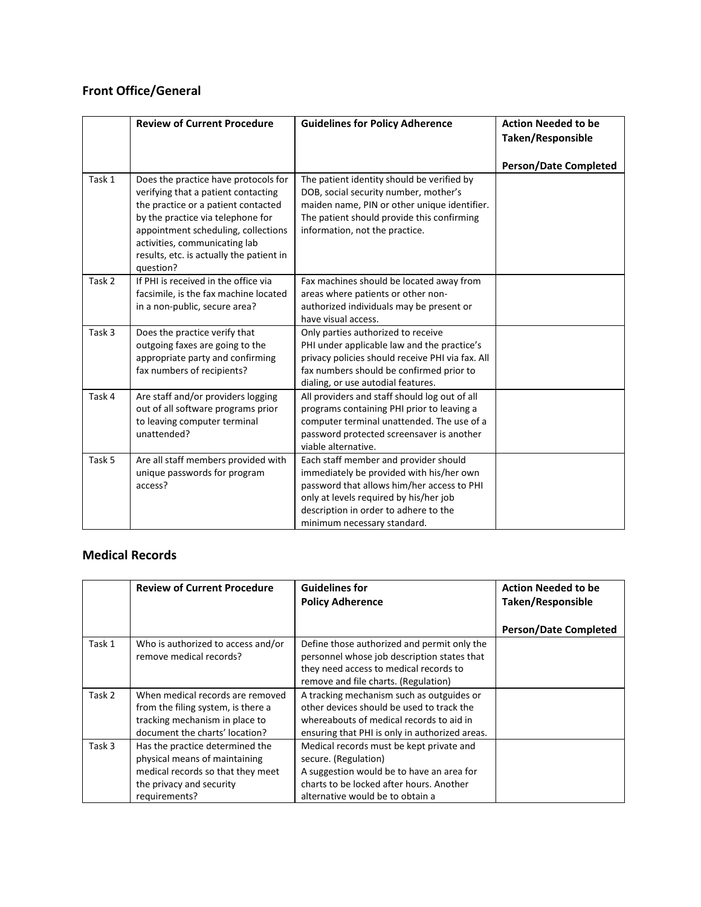# **Front Office/General**

|        | <b>Review of Current Procedure</b>                                                                                                                                                                                                                                                       | <b>Guidelines for Policy Adherence</b>                                                                                                                                                                                                            | <b>Action Needed to be</b><br>Taken/Responsible |
|--------|------------------------------------------------------------------------------------------------------------------------------------------------------------------------------------------------------------------------------------------------------------------------------------------|---------------------------------------------------------------------------------------------------------------------------------------------------------------------------------------------------------------------------------------------------|-------------------------------------------------|
|        |                                                                                                                                                                                                                                                                                          |                                                                                                                                                                                                                                                   | <b>Person/Date Completed</b>                    |
| Task 1 | Does the practice have protocols for<br>verifying that a patient contacting<br>the practice or a patient contacted<br>by the practice via telephone for<br>appointment scheduling, collections<br>activities, communicating lab<br>results, etc. is actually the patient in<br>question? | The patient identity should be verified by<br>DOB, social security number, mother's<br>maiden name, PIN or other unique identifier.<br>The patient should provide this confirming<br>information, not the practice.                               |                                                 |
| Task 2 | If PHI is received in the office via<br>facsimile, is the fax machine located<br>in a non-public, secure area?                                                                                                                                                                           | Fax machines should be located away from<br>areas where patients or other non-<br>authorized individuals may be present or<br>have visual access.                                                                                                 |                                                 |
| Task 3 | Does the practice verify that<br>outgoing faxes are going to the<br>appropriate party and confirming<br>fax numbers of recipients?                                                                                                                                                       | Only parties authorized to receive<br>PHI under applicable law and the practice's<br>privacy policies should receive PHI via fax. All<br>fax numbers should be confirmed prior to<br>dialing, or use autodial features.                           |                                                 |
| Task 4 | Are staff and/or providers logging<br>out of all software programs prior<br>to leaving computer terminal<br>unattended?                                                                                                                                                                  | All providers and staff should log out of all<br>programs containing PHI prior to leaving a<br>computer terminal unattended. The use of a<br>password protected screensaver is another<br>viable alternative.                                     |                                                 |
| Task 5 | Are all staff members provided with<br>unique passwords for program<br>access?                                                                                                                                                                                                           | Each staff member and provider should<br>immediately be provided with his/her own<br>password that allows him/her access to PHI<br>only at levels required by his/her job<br>description in order to adhere to the<br>minimum necessary standard. |                                                 |

### **Medical Records**

|        | <b>Review of Current Procedure</b>                                                                                                                 | <b>Guidelines for</b><br><b>Policy Adherence</b>                                                                                                                                              | <b>Action Needed to be</b><br>Taken/Responsible |
|--------|----------------------------------------------------------------------------------------------------------------------------------------------------|-----------------------------------------------------------------------------------------------------------------------------------------------------------------------------------------------|-------------------------------------------------|
|        |                                                                                                                                                    |                                                                                                                                                                                               | <b>Person/Date Completed</b>                    |
| Task 1 | Who is authorized to access and/or<br>remove medical records?                                                                                      | Define those authorized and permit only the<br>personnel whose job description states that<br>they need access to medical records to<br>remove and file charts. (Regulation)                  |                                                 |
| Task 2 | When medical records are removed<br>from the filing system, is there a<br>tracking mechanism in place to<br>document the charts' location?         | A tracking mechanism such as outguides or<br>other devices should be used to track the<br>whereabouts of medical records to aid in<br>ensuring that PHI is only in authorized areas.          |                                                 |
| Task 3 | Has the practice determined the<br>physical means of maintaining<br>medical records so that they meet<br>the privacy and security<br>requirements? | Medical records must be kept private and<br>secure. (Regulation)<br>A suggestion would be to have an area for<br>charts to be locked after hours. Another<br>alternative would be to obtain a |                                                 |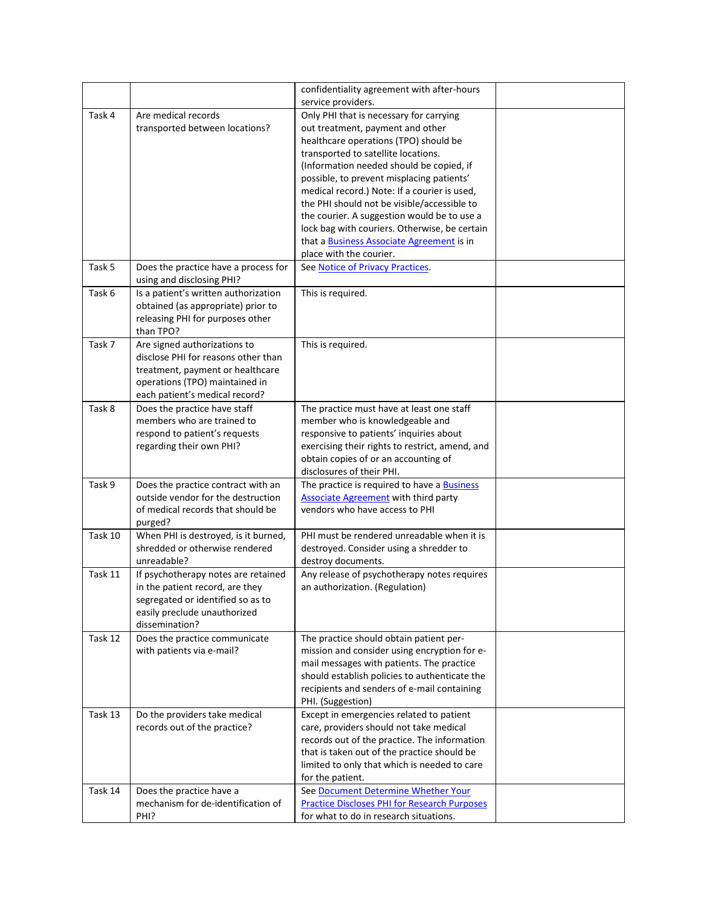|         |                                                                            | confidentiality agreement with after-hours                                                 |  |
|---------|----------------------------------------------------------------------------|--------------------------------------------------------------------------------------------|--|
|         |                                                                            | service providers.                                                                         |  |
| Task 4  | Are medical records                                                        | Only PHI that is necessary for carrying                                                    |  |
|         | transported between locations?                                             | out treatment, payment and other                                                           |  |
|         |                                                                            | healthcare operations (TPO) should be<br>transported to satellite locations.               |  |
|         |                                                                            | (Information needed should be copied, if                                                   |  |
|         |                                                                            | possible, to prevent misplacing patients'                                                  |  |
|         |                                                                            | medical record.) Note: If a courier is used,                                               |  |
|         |                                                                            | the PHI should not be visible/accessible to                                                |  |
|         |                                                                            | the courier. A suggestion would be to use a                                                |  |
|         |                                                                            | lock bag with couriers. Otherwise, be certain                                              |  |
|         |                                                                            | that a <b>Business Associate Agreement</b> is in                                           |  |
|         |                                                                            | place with the courier.                                                                    |  |
| Task 5  | Does the practice have a process for                                       | See Notice of Privacy Practices.                                                           |  |
|         | using and disclosing PHI?                                                  |                                                                                            |  |
| Task 6  | Is a patient's written authorization<br>obtained (as appropriate) prior to | This is required.                                                                          |  |
|         | releasing PHI for purposes other                                           |                                                                                            |  |
|         | than TPO?                                                                  |                                                                                            |  |
| Task 7  | Are signed authorizations to                                               | This is required.                                                                          |  |
|         | disclose PHI for reasons other than                                        |                                                                                            |  |
|         | treatment, payment or healthcare                                           |                                                                                            |  |
|         | operations (TPO) maintained in                                             |                                                                                            |  |
|         | each patient's medical record?                                             |                                                                                            |  |
| Task 8  | Does the practice have staff                                               | The practice must have at least one staff                                                  |  |
|         | members who are trained to                                                 | member who is knowledgeable and                                                            |  |
|         | respond to patient's requests<br>regarding their own PHI?                  | responsive to patients' inquiries about<br>exercising their rights to restrict, amend, and |  |
|         |                                                                            | obtain copies of or an accounting of                                                       |  |
|         |                                                                            | disclosures of their PHI.                                                                  |  |
| Task 9  | Does the practice contract with an                                         | The practice is required to have a <b>Business</b>                                         |  |
|         | outside vendor for the destruction                                         | <b>Associate Agreement with third party</b>                                                |  |
|         | of medical records that should be                                          | vendors who have access to PHI                                                             |  |
|         | purged?                                                                    |                                                                                            |  |
| Task 10 | When PHI is destroyed, is it burned,                                       | PHI must be rendered unreadable when it is                                                 |  |
|         | shredded or otherwise rendered<br>unreadable?                              | destroyed. Consider using a shredder to<br>destroy documents.                              |  |
| Task 11 | If psychotherapy notes are retained                                        | Any release of psychotherapy notes requires                                                |  |
|         | in the patient record, are they                                            | an authorization. (Regulation)                                                             |  |
|         | segregated or identified so as to                                          |                                                                                            |  |
|         | easily preclude unauthorized                                               |                                                                                            |  |
|         | dissemination?                                                             |                                                                                            |  |
| Task 12 | Does the practice communicate                                              | The practice should obtain patient per-                                                    |  |
|         | with patients via e-mail?                                                  | mission and consider using encryption for e-                                               |  |
|         |                                                                            | mail messages with patients. The practice                                                  |  |
|         |                                                                            | should establish policies to authenticate the                                              |  |
|         |                                                                            | recipients and senders of e-mail containing<br>PHI. (Suggestion)                           |  |
| Task 13 | Do the providers take medical                                              | Except in emergencies related to patient                                                   |  |
|         | records out of the practice?                                               | care, providers should not take medical                                                    |  |
|         |                                                                            | records out of the practice. The information                                               |  |
|         |                                                                            | that is taken out of the practice should be                                                |  |
|         |                                                                            | limited to only that which is needed to care                                               |  |
|         |                                                                            | for the patient.                                                                           |  |
| Task 14 | Does the practice have a                                                   | See Document Determine Whether Your                                                        |  |
|         | mechanism for de-identification of                                         | <b>Practice Discloses PHI for Research Purposes</b>                                        |  |
|         | PHI?                                                                       | for what to do in research situations.                                                     |  |